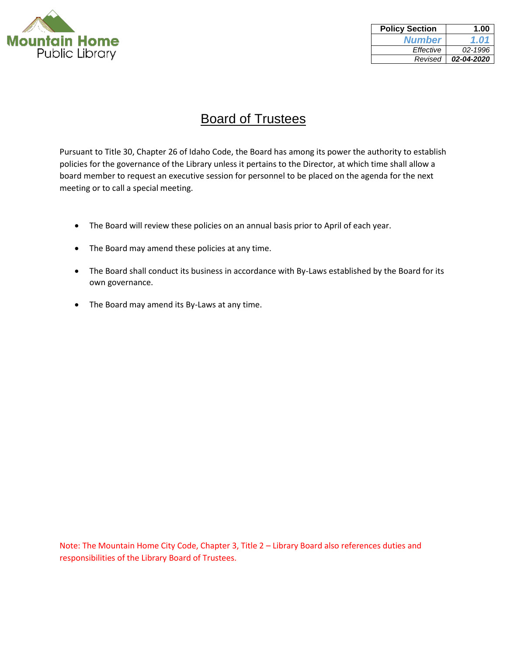

| <b>Policy Section</b> | 1.00       |
|-----------------------|------------|
| <b>Number</b>         | 1.01       |
| Effective             | 02-1996    |
| Revised               | 02-04-2020 |

# Board of Trustees

Pursuant to Title 30, Chapter 26 of Idaho Code, the Board has among its power the authority to establish policies for the governance of the Library unless it pertains to the Director, at which time shall allow a board member to request an executive session for personnel to be placed on the agenda for the next meeting or to call a special meeting.

- The Board will review these policies on an annual basis prior to April of each year.
- The Board may amend these policies at any time.
- The Board shall conduct its business in accordance with By-Laws established by the Board for its own governance.
- The Board may amend its By-Laws at any time.

Note: The Mountain Home City Code, Chapter 3, Title 2 – Library Board also references duties and responsibilities of the Library Board of Trustees.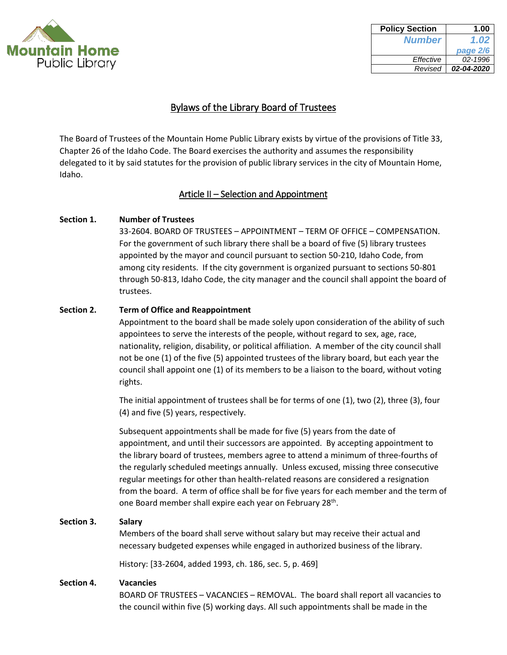

| <b>Policy Section</b> | 1.00       |
|-----------------------|------------|
| <b>Number</b>         | 1.02       |
|                       | page 2/6   |
| Effective             | 02-1996    |
| Revised               | 02-04-2020 |

The Board of Trustees of the Mountain Home Public Library exists by virtue of the provisions of Title 33, Chapter 26 of the Idaho Code. The Board exercises the authority and assumes the responsibility delegated to it by said statutes for the provision of public library services in the city of Mountain Home, Idaho.

### Article II – Selection and Appointment

### **Section 1. Number of Trustees**

33-2604. BOARD OF TRUSTEES – APPOINTMENT – TERM OF OFFICE – COMPENSATION. For the government of such library there shall be a board of five (5) library trustees appointed by the mayor and council pursuant to section 50-210, Idaho Code, from among city residents. If the city government is organized pursuant to sections 50-801 through 50-813, Idaho Code, the city manager and the council shall appoint the board of trustees.

### **Section 2. Term of Office and Reappointment**

Appointment to the board shall be made solely upon consideration of the ability of such appointees to serve the interests of the people, without regard to sex, age, race, nationality, religion, disability, or political affiliation. A member of the city council shall not be one (1) of the five (5) appointed trustees of the library board, but each year the council shall appoint one (1) of its members to be a liaison to the board, without voting rights.

The initial appointment of trustees shall be for terms of one (1), two (2), three (3), four (4) and five (5) years, respectively.

Subsequent appointments shall be made for five (5) years from the date of appointment, and until their successors are appointed. By accepting appointment to the library board of trustees, members agree to attend a minimum of three-fourths of the regularly scheduled meetings annually. Unless excused, missing three consecutive regular meetings for other than health-related reasons are considered a resignation from the board. A term of office shall be for five years for each member and the term of one Board member shall expire each year on February 28<sup>th</sup>.

### **Section 3. Salary**

Members of the board shall serve without salary but may receive their actual and necessary budgeted expenses while engaged in authorized business of the library.

History: [33-2604, added 1993, ch. 186, sec. 5, p. 469]

#### **Section 4. Vacancies**

BOARD OF TRUSTEES – VACANCIES – REMOVAL. The board shall report all vacancies to the council within five (5) working days. All such appointments shall be made in the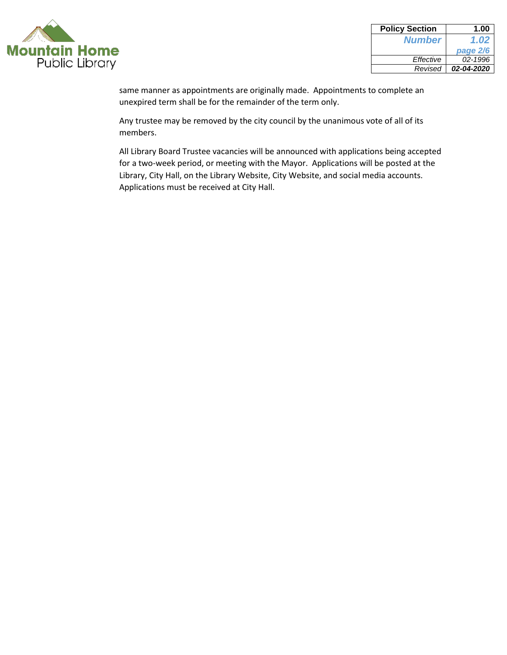

| <b>Policy Section</b> | 1.00       |
|-----------------------|------------|
| <b>Number</b>         | 1.02       |
|                       | page 2/6   |
| Effective             | 02-1996    |
| Revised               | 02-04-2020 |

same manner as appointments are originally made. Appointments to complete an unexpired term shall be for the remainder of the term only.

Any trustee may be removed by the city council by the unanimous vote of all of its members.

All Library Board Trustee vacancies will be announced with applications being accepted for a two-week period, or meeting with the Mayor. Applications will be posted at the Library, City Hall, on the Library Website, City Website, and social media accounts. Applications must be received at City Hall.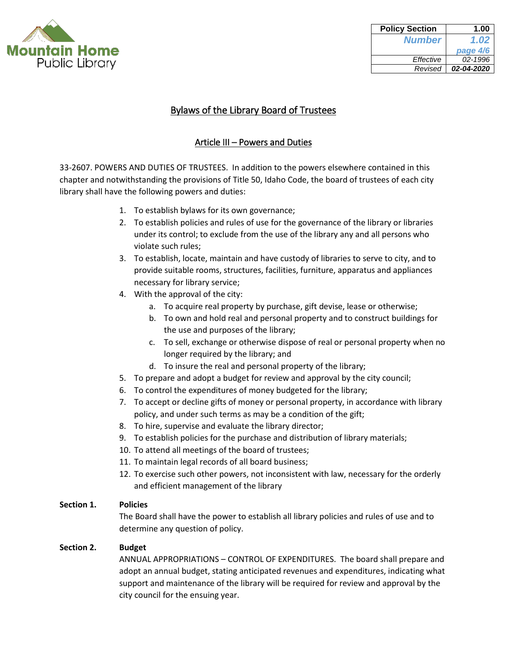

| <b>Policy Section</b> | 1.00       |
|-----------------------|------------|
| <b>Number</b>         | 1.02       |
|                       | page 4/6   |
| Effective             | 02-1996    |
| Revised               | 02-04-2020 |

## Article III – Powers and Duties

33-2607. POWERS AND DUTIES OF TRUSTEES. In addition to the powers elsewhere contained in this chapter and notwithstanding the provisions of Title 50, Idaho Code, the board of trustees of each city library shall have the following powers and duties:

- 1. To establish bylaws for its own governance;
- 2. To establish policies and rules of use for the governance of the library or libraries under its control; to exclude from the use of the library any and all persons who violate such rules;
- 3. To establish, locate, maintain and have custody of libraries to serve to city, and to provide suitable rooms, structures, facilities, furniture, apparatus and appliances necessary for library service;
- 4. With the approval of the city:
	- a. To acquire real property by purchase, gift devise, lease or otherwise;
	- b. To own and hold real and personal property and to construct buildings for the use and purposes of the library;
	- c. To sell, exchange or otherwise dispose of real or personal property when no longer required by the library; and
	- d. To insure the real and personal property of the library;
- 5. To prepare and adopt a budget for review and approval by the city council;
- 6. To control the expenditures of money budgeted for the library;
- 7. To accept or decline gifts of money or personal property, in accordance with library policy, and under such terms as may be a condition of the gift;
- 8. To hire, supervise and evaluate the library director;
- 9. To establish policies for the purchase and distribution of library materials;
- 10. To attend all meetings of the board of trustees;
- 11. To maintain legal records of all board business;
- 12. To exercise such other powers, not inconsistent with law, necessary for the orderly and efficient management of the library

### **Section 1. Policies**

The Board shall have the power to establish all library policies and rules of use and to determine any question of policy.

### **Section 2. Budget**

ANNUAL APPROPRIATIONS – CONTROL OF EXPENDITURES. The board shall prepare and adopt an annual budget, stating anticipated revenues and expenditures, indicating what support and maintenance of the library will be required for review and approval by the city council for the ensuing year.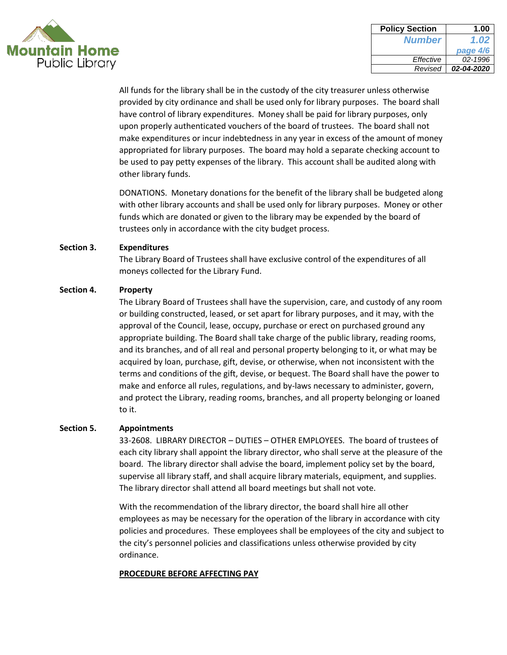

| <b>Policy Section</b> | 1.00       |
|-----------------------|------------|
| <b>Number</b>         | 1.02       |
|                       | page 4/6   |
| Effective             | 02-1996    |
| Revised               | 02-04-2020 |

All funds for the library shall be in the custody of the city treasurer unless otherwise provided by city ordinance and shall be used only for library purposes. The board shall have control of library expenditures. Money shall be paid for library purposes, only upon properly authenticated vouchers of the board of trustees. The board shall not make expenditures or incur indebtedness in any year in excess of the amount of money appropriated for library purposes. The board may hold a separate checking account to be used to pay petty expenses of the library. This account shall be audited along with other library funds.

DONATIONS. Monetary donations for the benefit of the library shall be budgeted along with other library accounts and shall be used only for library purposes. Money or other funds which are donated or given to the library may be expended by the board of trustees only in accordance with the city budget process.

#### **Section 3. Expenditures**

The Library Board of Trustees shall have exclusive control of the expenditures of all moneys collected for the Library Fund.

### **Section 4. Property**

The Library Board of Trustees shall have the supervision, care, and custody of any room or building constructed, leased, or set apart for library purposes, and it may, with the approval of the Council, lease, occupy, purchase or erect on purchased ground any appropriate building. The Board shall take charge of the public library, reading rooms, and its branches, and of all real and personal property belonging to it, or what may be acquired by loan, purchase, gift, devise, or otherwise, when not inconsistent with the terms and conditions of the gift, devise, or bequest. The Board shall have the power to make and enforce all rules, regulations, and by-laws necessary to administer, govern, and protect the Library, reading rooms, branches, and all property belonging or loaned to it.

### **Section 5. Appointments**

33-2608. LIBRARY DIRECTOR – DUTIES – OTHER EMPLOYEES. The board of trustees of each city library shall appoint the library director, who shall serve at the pleasure of the board. The library director shall advise the board, implement policy set by the board, supervise all library staff, and shall acquire library materials, equipment, and supplies. The library director shall attend all board meetings but shall not vote.

With the recommendation of the library director, the board shall hire all other employees as may be necessary for the operation of the library in accordance with city policies and procedures. These employees shall be employees of the city and subject to the city's personnel policies and classifications unless otherwise provided by city ordinance.

### **PROCEDURE BEFORE AFFECTING PAY**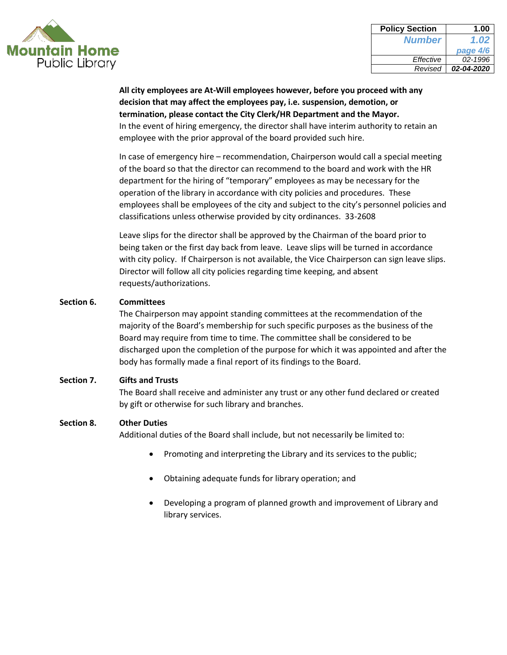

| <b>Policy Section</b> | 1.00       |
|-----------------------|------------|
| <b>Number</b>         | 1.02       |
|                       | page 4/6   |
| Effective             | 02-1996    |
| Revised               | 02-04-2020 |

**All city employees are At-Will employees however, before you proceed with any decision that may affect the employees pay, i.e. suspension, demotion, or termination, please contact the City Clerk/HR Department and the Mayor.** In the event of hiring emergency, the director shall have interim authority to retain an employee with the prior approval of the board provided such hire.

In case of emergency hire – recommendation, Chairperson would call a special meeting of the board so that the director can recommend to the board and work with the HR department for the hiring of "temporary" employees as may be necessary for the operation of the library in accordance with city policies and procedures. These employees shall be employees of the city and subject to the city's personnel policies and classifications unless otherwise provided by city ordinances. 33-2608

Leave slips for the director shall be approved by the Chairman of the board prior to being taken or the first day back from leave. Leave slips will be turned in accordance with city policy. If Chairperson is not available, the Vice Chairperson can sign leave slips. Director will follow all city policies regarding time keeping, and absent requests/authorizations.

### **Section 6. Committees**

The Chairperson may appoint standing committees at the recommendation of the majority of the Board's membership for such specific purposes as the business of the Board may require from time to time. The committee shall be considered to be discharged upon the completion of the purpose for which it was appointed and after the body has formally made a final report of its findings to the Board.

### **Section 7. Gifts and Trusts**

The Board shall receive and administer any trust or any other fund declared or created by gift or otherwise for such library and branches.

#### **Section 8. Other Duties**

Additional duties of the Board shall include, but not necessarily be limited to:

- Promoting and interpreting the Library and its services to the public;
- Obtaining adequate funds for library operation; and
- Developing a program of planned growth and improvement of Library and library services.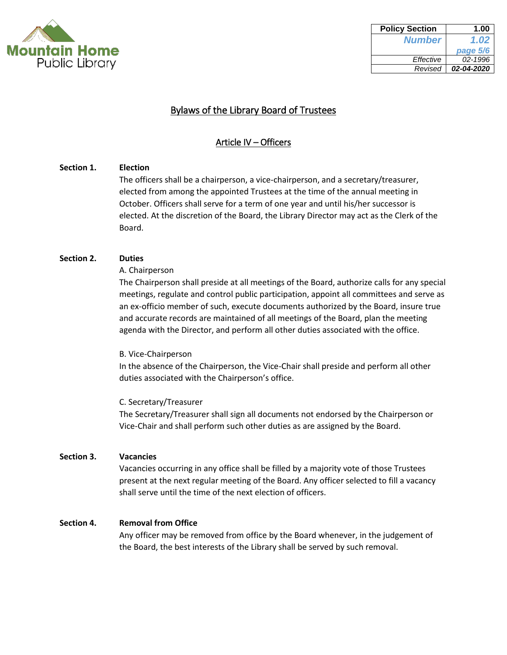

| <b>Policy Section</b> | 1.00       |
|-----------------------|------------|
| <b>Number</b>         | 1.02       |
|                       | page 5/6   |
| Effective             | 02-1996    |
| Revised               | 02-04-2020 |

### Article IV – Officers

### **Section 1. Election**

The officers shall be a chairperson, a vice-chairperson, and a secretary/treasurer, elected from among the appointed Trustees at the time of the annual meeting in October. Officers shall serve for a term of one year and until his/her successor is elected. At the discretion of the Board, the Library Director may act as the Clerk of the Board.

### **Section 2. Duties**

A. Chairperson

The Chairperson shall preside at all meetings of the Board, authorize calls for any special meetings, regulate and control public participation, appoint all committees and serve as an ex-officio member of such, execute documents authorized by the Board, insure true and accurate records are maintained of all meetings of the Board, plan the meeting agenda with the Director, and perform all other duties associated with the office.

### B. Vice-Chairperson

In the absence of the Chairperson, the Vice-Chair shall preside and perform all other duties associated with the Chairperson's office.

### C. Secretary/Treasurer

The Secretary/Treasurer shall sign all documents not endorsed by the Chairperson or Vice-Chair and shall perform such other duties as are assigned by the Board.

### **Section 3. Vacancies**

Vacancies occurring in any office shall be filled by a majority vote of those Trustees present at the next regular meeting of the Board. Any officer selected to fill a vacancy shall serve until the time of the next election of officers.

### **Section 4. Removal from Office**

Any officer may be removed from office by the Board whenever, in the judgement of the Board, the best interests of the Library shall be served by such removal.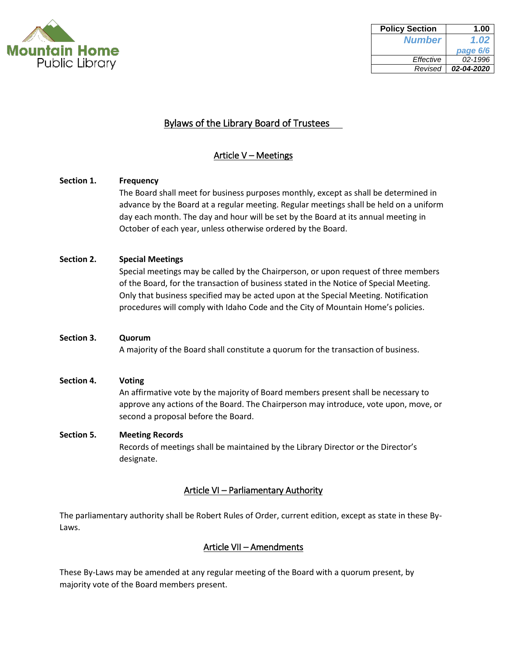

| <b>Policy Section</b> | 1.00       |
|-----------------------|------------|
| <b>Number</b>         | 1.02       |
|                       | page 6/6   |
| Effective             | 02-1996    |
| Revised               | 02-04-2020 |

## Article V – Meetings

# **Section 1. Frequency** The Board shall meet for business purposes monthly, except as shall be determined in advance by the Board at a regular meeting. Regular meetings shall be held on a uniform day each month. The day and hour will be set by the Board at its annual meeting in October of each year, unless otherwise ordered by the Board. **Section 2. Special Meetings** Special meetings may be called by the Chairperson, or upon request of three members of the Board, for the transaction of business stated in the Notice of Special Meeting. Only that business specified may be acted upon at the Special Meeting. Notification procedures will comply with Idaho Code and the City of Mountain Home's policies. **Section 3. Quorum** A majority of the Board shall constitute a quorum for the transaction of business. **Section 4. Voting** An affirmative vote by the majority of Board members present shall be necessary to approve any actions of the Board. The Chairperson may introduce, vote upon, move, or

# **Section 5. Meeting Records** Records of meetings shall be maintained by the Library Director or the Director's designate.

second a proposal before the Board.

### Article VI – Parliamentary Authority

The parliamentary authority shall be Robert Rules of Order, current edition, except as state in these By-Laws.

### Article VII – Amendments

These By-Laws may be amended at any regular meeting of the Board with a quorum present, by majority vote of the Board members present.